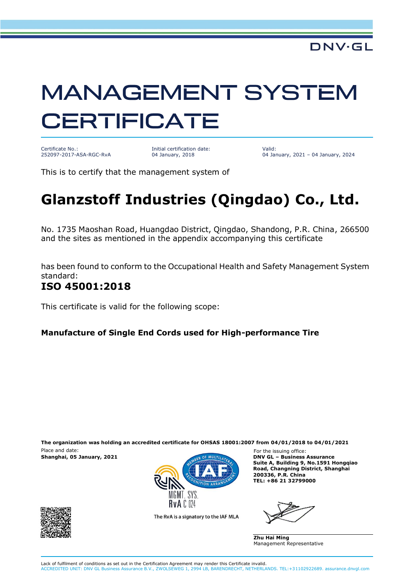# **MANAGEMENT SYSTEM CERTIFICATE**

Certificate No.: 252097-2017-ASA-RGC-RvA

Initial certification date: 04 January, 2018

Valid: 04 January, 2021 – 04 January, 2024

This is to certify that the management system of

## **Glanzstoff Industries (Qingdao) Co., Ltd.**

No. 1735 Maoshan Road, Huangdao District, Qingdao, Shandong, P.R. China, 266500 and the sites as mentioned in the appendix accompanying this certificate

has been found to conform to the Occupational Health and Safety Management System standard:

#### **ISO 45001:2018**

This certificate is valid for the following scope:

#### **Manufacture of Single End Cords used for High-performance Tire**

Place and date: For the issuing office: **The organization was holding an accredited certificate for OHSAS 18001:2007 from 04/01/2018 to 04/01/2021**



**Suite A, Building 9, No.1591 Hongqiao Road, Changning District, Shanghai 200336, P.R. China TEL: +86 21 32799000**

The RvA is a signatory to the IAF MLA

**Zhu Hai Ming** Management Representative

Lack of fulfilment of conditions as set out in the Certification Agreement may render this Certificate invalid. ACCREDITED UNIT: DNV GL Business Assurance B.V., ZWOLSEWEG 1, 2994 LB, BARENDRECHT, NETHERLANDS. TEL:+31102922689. assurance.dnvgl.com